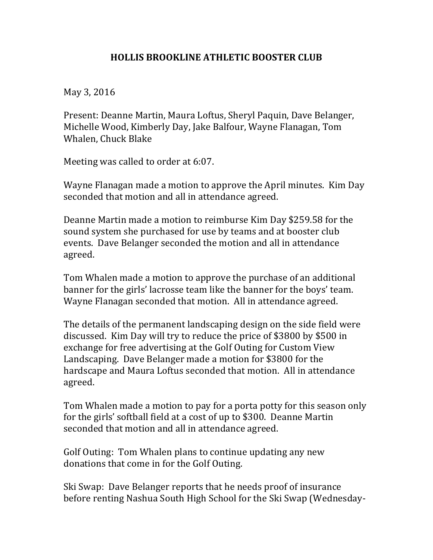## **HOLLIS BROOKLINE ATHLETIC BOOSTER CLUB**

May 3, 2016

Present: Deanne Martin, Maura Loftus, Sheryl Paquin, Dave Belanger, Michelle Wood, Kimberly Day, Jake Balfour, Wayne Flanagan, Tom Whalen, Chuck Blake

Meeting was called to order at  $6:07$ .

Wayne Flanagan made a motion to approve the April minutes. Kim Day seconded that motion and all in attendance agreed.

Deanne Martin made a motion to reimburse Kim Day \$259.58 for the sound system she purchased for use by teams and at booster club events. Dave Belanger seconded the motion and all in attendance agreed.

Tom Whalen made a motion to approve the purchase of an additional banner for the girls' lacrosse team like the banner for the boys' team. Wayne Flanagan seconded that motion. All in attendance agreed.

The details of the permanent landscaping design on the side field were discussed. Kim Day will try to reduce the price of \$3800 by \$500 in exchange for free advertising at the Golf Outing for Custom View Landscaping. Dave Belanger made a motion for \$3800 for the hardscape and Maura Loftus seconded that motion. All in attendance agreed.

Tom Whalen made a motion to pay for a porta potty for this season only for the girls' softball field at a cost of up to \$300. Deanne Martin seconded that motion and all in attendance agreed.

Golf Outing: Tom Whalen plans to continue updating any new donations that come in for the Golf Outing.

Ski Swap: Dave Belanger reports that he needs proof of insurance before renting Nashua South High School for the Ski Swap (Wednesday-